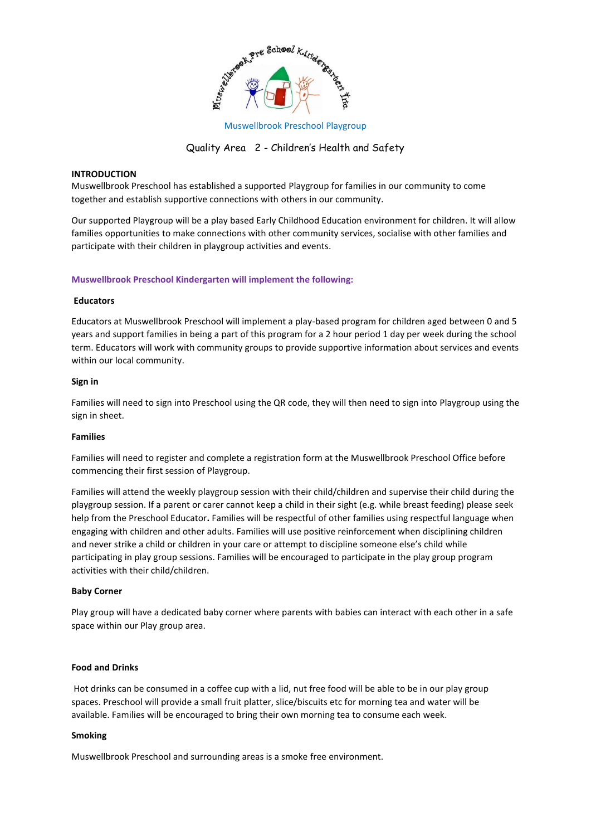

Muswellbrook Preschool Playgroup

# Quality Area 2 - Children's Health and Safety

# **INTRODUCTION**

Muswellbrook Preschool has established a supported Playgroup for families in our community to come together and establish supportive connections with others in our community.

Our supported Playgroup will be a play based Early Childhood Education environment for children. It will allow families opportunities to make connections with other community services, socialise with other families and participate with their children in playgroup activities and events.

### **Muswellbrook Preschool Kindergarten will implement the following:**

#### **Educators**

Educators at Muswellbrook Preschool will implement a play-based program for children aged between 0 and 5 years and support families in being a part of this program for a 2 hour period 1 day per week during the school term. Educators will work with community groups to provide supportive information about services and events within our local community.

#### **Sign in**

Families will need to sign into Preschool using the QR code, they will then need to sign into Playgroup using the sign in sheet.

#### **Families**

Families will need to register and complete a registration form at the Muswellbrook Preschool Office before commencing their first session of Playgroup.

Families will attend the weekly playgroup session with their child/children and supervise their child during the playgroup session. If a parent or carer cannot keep a child in their sight (e.g. while breast feeding) please seek help from the Preschool Educator**.** Families will be respectful of other families using respectful language when engaging with children and other adults. Families will use positive reinforcement when disciplining children and never strike a child or children in your care or attempt to discipline someone else's child while participating in play group sessions. Families will be encouraged to participate in the play group program activities with their child/children.

#### **Baby Corner**

Play group will have a dedicated baby corner where parents with babies can interact with each other in a safe space within our Play group area.

#### **Food and Drinks**

Hot drinks can be consumed in a coffee cup with a lid, nut free food will be able to be in our play group spaces. Preschool will provide a small fruit platter, slice/biscuits etc for morning tea and water will be available. Families will be encouraged to bring their own morning tea to consume each week.

#### **Smoking**

Muswellbrook Preschool and surrounding areas is a smoke free environment.